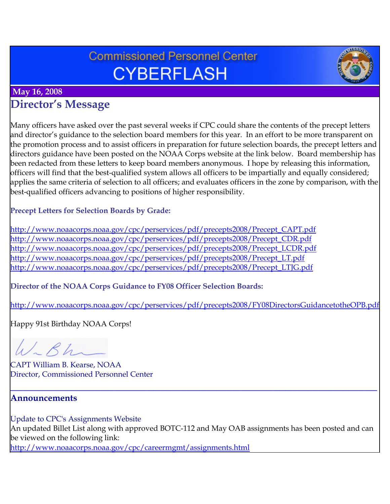# **Commissioned Personnel Center CYBERFLASH**



### **May 16, 2008**

## **Director's Message**

Many officers have asked over the past several weeks if CPC could share the contents of the precept letters and director's guidance to the selection board members for this year. In an effort to be more transparent on the promotion process and to assist officers in preparation for future selection boards, the precept letters and directors guidance have been posted on the NOAA Corps website at the link below. Board membership has been redacted from these letters to keep board members anonymous. I hope by releasing this information, officers will find that the best-qualified system allows all officers to be impartially and equally considered; applies the same criteria of selection to all officers; and evaluates officers in the zone by comparison, with the best-qualified officers advancing to positions of higher responsibility.

#### **Precept Letters for Selection Boards by Grade:**

[http://www.noaacorps.noaa.gov/cpc/perservices/pdf/precepts2008/Precept\\_CAPT.pdf](http://www.noaacorps.noaa.gov/cpc/perservices/pdf/precepts2008/Precept_CAPT.pdf) [http://www.noaacorps.noaa.gov/cpc/perservices/pdf/precepts2008/Precept\\_CDR.pdf](http://www.noaacorps.noaa.gov/cpc/perservices/pdf/precepts2008/Precept_CDR.pdf) [http://www.noaacorps.noaa.gov/cpc/perservices/pdf/precepts2008/Precept\\_LCDR.pdf](http://www.noaacorps.noaa.gov/cpc/perservices/pdf/precepts2008/Precept_LCDR.pdf) [http://www.noaacorps.noaa.gov/cpc/perservices/pdf/precepts2008/Precept\\_LT.pdf](http://www.noaacorps.noaa.gov/cpc/perservices/pdf/precepts2008/Precept_LT.pdf) [http://www.noaacorps.noaa.gov/cpc/perservices/pdf/precepts2008/Precept\\_LTJG.pdf](http://www.noaacorps.noaa.gov/cpc/perservices/pdf/precepts2008/Precept_LTJG.pdf)

#### **Director of the NOAA Corps Guidance to FY08 Officer Selection Boards:**

<http://www.noaacorps.noaa.gov/cpc/perservices/pdf/precepts2008/FY08DirectorsGuidancetotheOPB.pdf>

[Happy 91st Birthday NOAA Corps!](http://www.noaacorps.noaa.gov/cpc/perservices/pdf/precepts2008/FY08DirectorsGuidancetotheOPB.pdf) 

W.Bh

CAPT William B. Kearse, NOAA Director, Commissioned Personnel Center

#### **Announcements**

Update to CPC's Assignments Website An updated Billet List along with approved BOTC-112 and May OAB assignments has been posted and can be viewed on the following link: <http://www.noaacorps.noaa.gov/cpc/careermgmt/assignments.html>

**\_\_\_\_\_\_\_\_\_\_\_\_\_\_\_\_\_\_\_\_\_\_\_\_\_\_\_\_\_\_\_\_\_\_\_\_\_\_\_\_\_\_\_\_\_\_\_\_\_\_\_\_\_\_\_\_\_\_\_\_\_\_\_\_**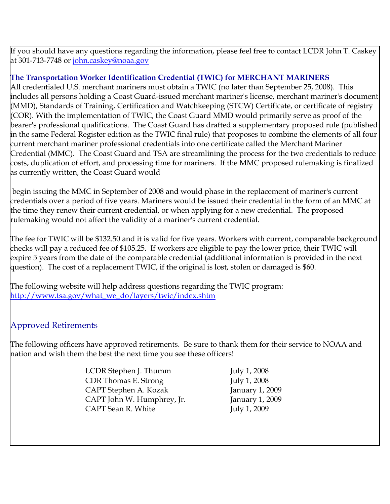If you should have any questions regarding the information, please feel free to contact LCDR John T. Caskey at 301-713-7748 or [john.caskey@noaa.gov](mailto:john.caskey@noaa.gov)

#### **The Transportation Worker Identification Credential (TWIC) for MERCHANT MARINERS**

All credentialed U.S. merchant mariners must obtain a TWIC (no later than September 25, 2008). This includes all persons holding a Coast Guard-issued merchant mariner's license, merchant mariner's document (MMD), Standards of Training, Certification and Watchkeeping (STCW) Certificate, or certificate of registry (COR). With the implementation of TWIC, the Coast Guard MMD would primarily serve as proof of the bearer's professional qualifications. The Coast Guard has drafted a supplementary proposed rule (published in the same Federal Register edition as the TWIC final rule) that proposes to combine the elements of all four current merchant mariner professional credentials into one certificate called the Merchant Mariner Credential (MMC). The Coast Guard and TSA are streamlining the process for the two credentials to reduce costs, duplication of effort, and processing time for mariners. If the MMC proposed rulemaking is finalized as currently written, the Coast Guard would

 begin issuing the MMC in September of 2008 and would phase in the replacement of mariner's current credentials over a period of five years. Mariners would be issued their credential in the form of an MMC at the time they renew their current credential, or when applying for a new credential. The proposed rulemaking would not affect the validity of a mariner's current credential.

The fee for TWIC will be \$132.50 and it is valid for five years. Workers with current, comparable background checks will pay a reduced fee of \$105.25. If workers are eligible to pay the lower price, their TWIC will expire 5 years from the date of the comparable credential (additional information is provided in the next question). The cost of a replacement TWIC, if the original is lost, stolen or damaged is \$60.

The following website will help address questions regarding the TWIC program: [http://www.tsa.gov/what\\_we\\_do/layers/twic/index.shtm](http://www.tsa.gov/what_we_do/layers/twic/index.shtm)

### Approved Retirements

The following officers have approved retirements. Be sure to thank them for their service to NOAA and nation and wish them the best the next time you see these officers!

> LCDR Stephen J. Thumm July 1, 2008 CDR Thomas E. Strong July 1, 2008 CAPT Stephen A. Kozak January 1, 2009 CAPT John W. Humphrey, Jr. January 1, 2009 CAPT Sean R. White July 1, 2009